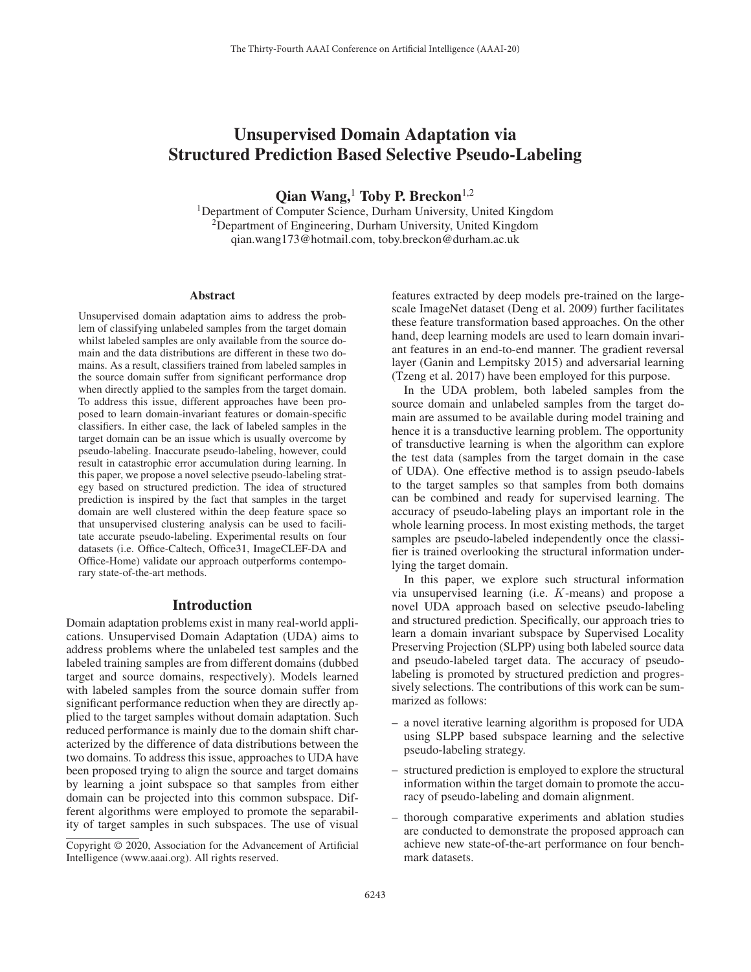# Unsupervised Domain Adaptation via Structured Prediction Based Selective Pseudo-Labeling

Qian Wang,<sup>1</sup> Toby P. Breckon<sup>1,2</sup>

<sup>1</sup>Department of Computer Science, Durham University, United Kingdom 2Department of Engineering, Durham University, United Kingdom qian.wang173@hotmail.com, toby.breckon@durham.ac.uk

#### Abstract

Unsupervised domain adaptation aims to address the problem of classifying unlabeled samples from the target domain whilst labeled samples are only available from the source domain and the data distributions are different in these two domains. As a result, classifiers trained from labeled samples in the source domain suffer from significant performance drop when directly applied to the samples from the target domain. To address this issue, different approaches have been proposed to learn domain-invariant features or domain-specific classifiers. In either case, the lack of labeled samples in the target domain can be an issue which is usually overcome by pseudo-labeling. Inaccurate pseudo-labeling, however, could result in catastrophic error accumulation during learning. In this paper, we propose a novel selective pseudo-labeling strategy based on structured prediction. The idea of structured prediction is inspired by the fact that samples in the target domain are well clustered within the deep feature space so that unsupervised clustering analysis can be used to facilitate accurate pseudo-labeling. Experimental results on four datasets (i.e. Office-Caltech, Office31, ImageCLEF-DA and Office-Home) validate our approach outperforms contemporary state-of-the-art methods.

#### Introduction

Domain adaptation problems exist in many real-world applications. Unsupervised Domain Adaptation (UDA) aims to address problems where the unlabeled test samples and the labeled training samples are from different domains (dubbed target and source domains, respectively). Models learned with labeled samples from the source domain suffer from significant performance reduction when they are directly applied to the target samples without domain adaptation. Such reduced performance is mainly due to the domain shift characterized by the difference of data distributions between the two domains. To address this issue, approaches to UDA have been proposed trying to align the source and target domains by learning a joint subspace so that samples from either domain can be projected into this common subspace. Different algorithms were employed to promote the separability of target samples in such subspaces. The use of visual

features extracted by deep models pre-trained on the largescale ImageNet dataset (Deng et al. 2009) further facilitates these feature transformation based approaches. On the other hand, deep learning models are used to learn domain invariant features in an end-to-end manner. The gradient reversal layer (Ganin and Lempitsky 2015) and adversarial learning (Tzeng et al. 2017) have been employed for this purpose.

In the UDA problem, both labeled samples from the source domain and unlabeled samples from the target domain are assumed to be available during model training and hence it is a transductive learning problem. The opportunity of transductive learning is when the algorithm can explore the test data (samples from the target domain in the case of UDA). One effective method is to assign pseudo-labels to the target samples so that samples from both domains can be combined and ready for supervised learning. The accuracy of pseudo-labeling plays an important role in the whole learning process. In most existing methods, the target samples are pseudo-labeled independently once the classifier is trained overlooking the structural information underlying the target domain.

In this paper, we explore such structural information via unsupervised learning (i.e. K-means) and propose a novel UDA approach based on selective pseudo-labeling and structured prediction. Specifically, our approach tries to learn a domain invariant subspace by Supervised Locality Preserving Projection (SLPP) using both labeled source data and pseudo-labeled target data. The accuracy of pseudolabeling is promoted by structured prediction and progressively selections. The contributions of this work can be summarized as follows:

- a novel iterative learning algorithm is proposed for UDA using SLPP based subspace learning and the selective pseudo-labeling strategy.
- structured prediction is employed to explore the structural information within the target domain to promote the accuracy of pseudo-labeling and domain alignment.
- thorough comparative experiments and ablation studies are conducted to demonstrate the proposed approach can achieve new state-of-the-art performance on four benchmark datasets.

Copyright © 2020, Association for the Advancement of Artificial Intelligence (www.aaai.org). All rights reserved.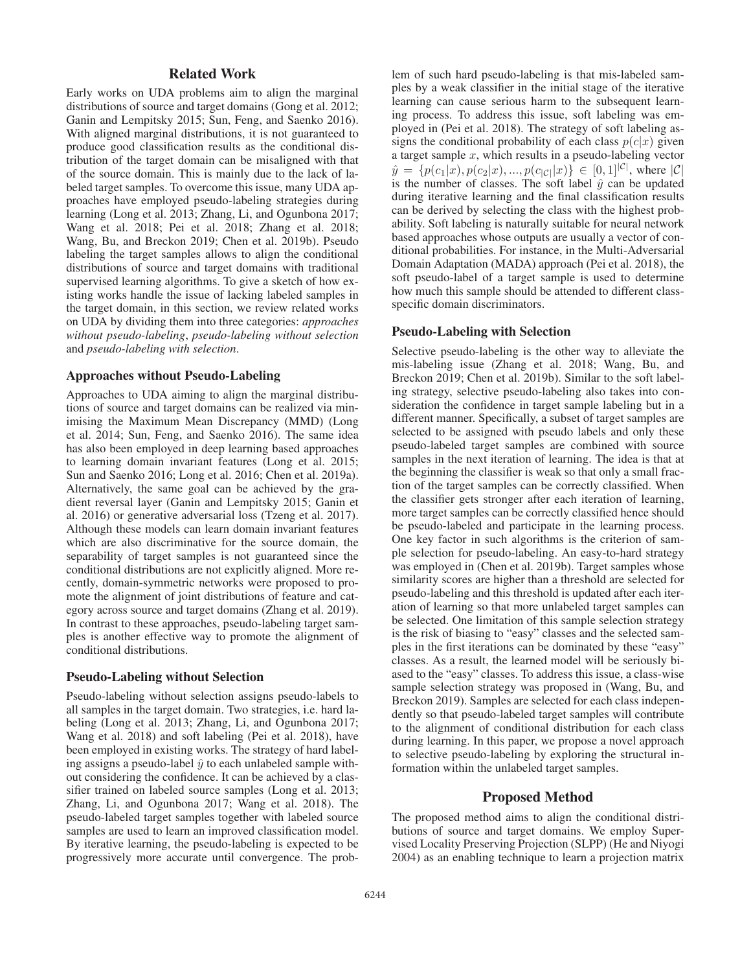# Related Work

Early works on UDA problems aim to align the marginal distributions of source and target domains (Gong et al. 2012; Ganin and Lempitsky 2015; Sun, Feng, and Saenko 2016). With aligned marginal distributions, it is not guaranteed to produce good classification results as the conditional distribution of the target domain can be misaligned with that of the source domain. This is mainly due to the lack of labeled target samples. To overcome this issue, many UDA approaches have employed pseudo-labeling strategies during learning (Long et al. 2013; Zhang, Li, and Ogunbona 2017; Wang et al. 2018; Pei et al. 2018; Zhang et al. 2018; Wang, Bu, and Breckon 2019; Chen et al. 2019b). Pseudo labeling the target samples allows to align the conditional distributions of source and target domains with traditional supervised learning algorithms. To give a sketch of how existing works handle the issue of lacking labeled samples in the target domain, in this section, we review related works on UDA by dividing them into three categories: *approaches without pseudo-labeling*, *pseudo-labeling without selection* and *pseudo-labeling with selection*.

#### Approaches without Pseudo-Labeling

Approaches to UDA aiming to align the marginal distributions of source and target domains can be realized via minimising the Maximum Mean Discrepancy (MMD) (Long et al. 2014; Sun, Feng, and Saenko 2016). The same idea has also been employed in deep learning based approaches to learning domain invariant features (Long et al. 2015; Sun and Saenko 2016; Long et al. 2016; Chen et al. 2019a). Alternatively, the same goal can be achieved by the gradient reversal layer (Ganin and Lempitsky 2015; Ganin et al. 2016) or generative adversarial loss (Tzeng et al. 2017). Although these models can learn domain invariant features which are also discriminative for the source domain, the separability of target samples is not guaranteed since the conditional distributions are not explicitly aligned. More recently, domain-symmetric networks were proposed to promote the alignment of joint distributions of feature and category across source and target domains (Zhang et al. 2019). In contrast to these approaches, pseudo-labeling target samples is another effective way to promote the alignment of conditional distributions.

#### Pseudo-Labeling without Selection

Pseudo-labeling without selection assigns pseudo-labels to all samples in the target domain. Two strategies, i.e. hard labeling (Long et al. 2013; Zhang, Li, and Ogunbona 2017; Wang et al. 2018) and soft labeling (Pei et al. 2018), have been employed in existing works. The strategy of hard labeling assigns a pseudo-label  $\hat{y}$  to each unlabeled sample without considering the confidence. It can be achieved by a classifier trained on labeled source samples (Long et al. 2013; Zhang, Li, and Ogunbona 2017; Wang et al. 2018). The pseudo-labeled target samples together with labeled source samples are used to learn an improved classification model. By iterative learning, the pseudo-labeling is expected to be progressively more accurate until convergence. The problem of such hard pseudo-labeling is that mis-labeled samples by a weak classifier in the initial stage of the iterative learning can cause serious harm to the subsequent learning process. To address this issue, soft labeling was employed in (Pei et al. 2018). The strategy of soft labeling assigns the conditional probability of each class  $p(c|x)$  given a target sample  $x$ , which results in a pseudo-labeling vector  $\hat{y} = \{p(c_1|x), p(c_2|x), ..., p(c_{|\mathcal{C}|}|x)\}\in [0,1]^{\mathcal{|C|}}$ , where  $|\mathcal{C}|$ is the number of classes. The soft label  $\hat{y}$  can be updated during iterative learning and the final classification results can be derived by selecting the class with the highest probability. Soft labeling is naturally suitable for neural network based approaches whose outputs are usually a vector of conditional probabilities. For instance, in the Multi-Adversarial Domain Adaptation (MADA) approach (Pei et al. 2018), the soft pseudo-label of a target sample is used to determine how much this sample should be attended to different classspecific domain discriminators.

## Pseudo-Labeling with Selection

Selective pseudo-labeling is the other way to alleviate the mis-labeling issue (Zhang et al. 2018; Wang, Bu, and Breckon 2019; Chen et al. 2019b). Similar to the soft labeling strategy, selective pseudo-labeling also takes into consideration the confidence in target sample labeling but in a different manner. Specifically, a subset of target samples are selected to be assigned with pseudo labels and only these pseudo-labeled target samples are combined with source samples in the next iteration of learning. The idea is that at the beginning the classifier is weak so that only a small fraction of the target samples can be correctly classified. When the classifier gets stronger after each iteration of learning, more target samples can be correctly classified hence should be pseudo-labeled and participate in the learning process. One key factor in such algorithms is the criterion of sample selection for pseudo-labeling. An easy-to-hard strategy was employed in (Chen et al. 2019b). Target samples whose similarity scores are higher than a threshold are selected for pseudo-labeling and this threshold is updated after each iteration of learning so that more unlabeled target samples can be selected. One limitation of this sample selection strategy is the risk of biasing to "easy" classes and the selected samples in the first iterations can be dominated by these "easy" classes. As a result, the learned model will be seriously biased to the "easy" classes. To address this issue, a class-wise sample selection strategy was proposed in (Wang, Bu, and Breckon 2019). Samples are selected for each class independently so that pseudo-labeled target samples will contribute to the alignment of conditional distribution for each class during learning. In this paper, we propose a novel approach to selective pseudo-labeling by exploring the structural information within the unlabeled target samples.

#### Proposed Method

The proposed method aims to align the conditional distributions of source and target domains. We employ Supervised Locality Preserving Projection (SLPP) (He and Niyogi 2004) as an enabling technique to learn a projection matrix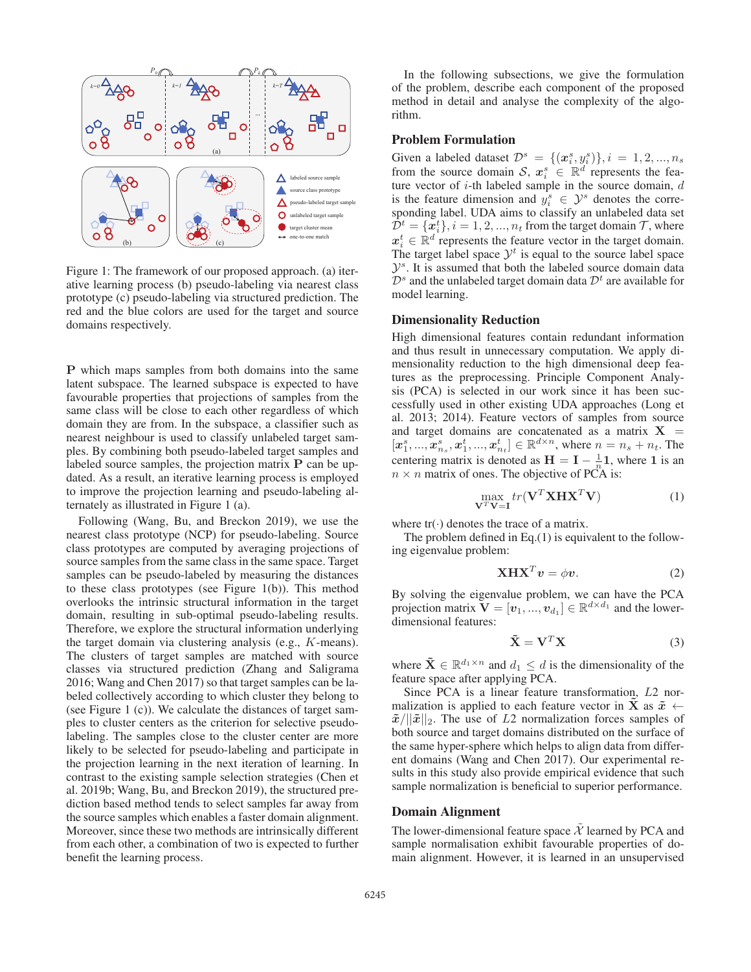

Figure 1: The framework of our proposed approach. (a) iterative learning process (b) pseudo-labeling via nearest class prototype (c) pseudo-labeling via structured prediction. The red and the blue colors are used for the target and source domains respectively.

**P** which maps samples from both domains into the same latent subspace. The learned subspace is expected to have favourable properties that projections of samples from the same class will be close to each other regardless of which domain they are from. In the subspace, a classifier such as nearest neighbour is used to classify unlabeled target samples. By combining both pseudo-labeled target samples and labeled source samples, the projection matrix **P** can be updated. As a result, an iterative learning process is employed to improve the projection learning and pseudo-labeling alternately as illustrated in Figure 1 (a).

Following (Wang, Bu, and Breckon 2019), we use the nearest class prototype (NCP) for pseudo-labeling. Source class prototypes are computed by averaging projections of source samples from the same class in the same space. Target samples can be pseudo-labeled by measuring the distances to these class prototypes (see Figure 1(b)). This method overlooks the intrinsic structural information in the target domain, resulting in sub-optimal pseudo-labeling results. Therefore, we explore the structural information underlying the target domain via clustering analysis (e.g., K-means). The clusters of target samples are matched with source classes via structured prediction (Zhang and Saligrama 2016; Wang and Chen 2017) so that target samples can be labeled collectively according to which cluster they belong to (see Figure 1 (c)). We calculate the distances of target samples to cluster centers as the criterion for selective pseudolabeling. The samples close to the cluster center are more likely to be selected for pseudo-labeling and participate in the projection learning in the next iteration of learning. In contrast to the existing sample selection strategies (Chen et al. 2019b; Wang, Bu, and Breckon 2019), the structured prediction based method tends to select samples far away from the source samples which enables a faster domain alignment. Moreover, since these two methods are intrinsically different from each other, a combination of two is expected to further benefit the learning process.

In the following subsections, we give the formulation of the problem, describe each component of the proposed method in detail and analyse the complexity of the algorithm.

# Problem Formulation

Given a labeled dataset  $\mathcal{D}^s = \{(\mathbf{x}_i^s, y_i^s)\}, i = 1, 2, ..., n_s$ <br>from the source domain  $S \mathbf{x}^s \in \mathbb{R}^d$  represents the feafrom the source domain S,  $x_i^s \in \mathbb{R}^d$  represents the feature vector of  $i$ -th labeled sample in the source domain,  $d$ is the feature dimension and  $y_i^s \in \mathcal{Y}^s$  denotes the corresponding label. UDA aims to classify an unlabeled data set  $\dot{\mathcal{D}}^t = \{x_i^t\}, i = 1, 2, ..., n_t$  from the target domain  $\mathcal{T}$ , where  $\mathbf{x}^t \in \mathbb{R}^d$  represents the feature vector in the target domain  $x_i^t \in \mathbb{R}^d$  represents the feature vector in the target domain. The target label space  $\mathcal{Y}^t$  is equal to the source label space  $\mathcal{Y}^s$ . It is assumed that both the labeled source domain data  $\mathcal{D}^s$  and the unlabeled target domain data  $\mathcal{D}^t$  are available for model learning.

#### Dimensionality Reduction

High dimensional features contain redundant information and thus result in unnecessary computation. We apply dimensionality reduction to the high dimensional deep features as the preprocessing. Principle Component Analysis (PCA) is selected in our work since it has been successfully used in other existing UDA approaches (Long et al. 2013; 2014). Feature vectors of samples from source and target domains are concatenated as a matrix  $X = [x_1^s \quad x_2^s \quad x_3^t \quad x_4^t] \in \mathbb{R}^{d \times n}$  where  $n = n_1 + n_4$ . The  $[x_1^s, ..., x_{n_s}^s, x_1^t, ..., x_{n_t}^t] \in \mathbb{R}^{d \times n}$ , where  $n = n_s + n_t$ . The centering matrix is denoted as  $H = I - \frac{1}{n}I$ , where 1 is an  $n \times n$  matrix of ones The objective of PCA is:  $n \times n$  matrix of ones. The objective of PCA is:

$$
\max_{\mathbf{V}^T \mathbf{V} = \mathbf{I}} tr(\mathbf{V}^T \mathbf{X} \mathbf{H} \mathbf{X}^T \mathbf{V})
$$
 (1)

where  $tr(\cdot)$  denotes the trace of a matrix.

The problem defined in Eq.(1) is equivalent to the following eigenvalue problem:

$$
\mathbf{X}\mathbf{H}\mathbf{X}^T\mathbf{v} = \phi\mathbf{v}.\tag{2}
$$

By solving the eigenvalue problem, we can have the PCA projection matrix  $\mathbf{V} = [\mathbf{v}_1, \dots, \mathbf{v}_{d_1}] \in \mathbb{R}^{d \times d_1}$  and the lowerdimensional features:

$$
\tilde{\mathbf{X}} = \mathbf{V}^T \mathbf{X} \tag{3}
$$

where  $\tilde{\mathbf{X}} \in \mathbb{R}^{d_1 \times n}$  and  $d_1 \leq d$  is the dimensionality of the feature space after applying PCA.

Since PCA is a linear feature transformation, L2 normalization is applied to each feature vector in **X** as  $\tilde{x} \leftarrow$  $\tilde{x}/||\tilde{x}||_2$ . The use of L2 normalization forces samples of both source and target domains distributed on the surface of the same hyper-sphere which helps to align data from different domains (Wang and Chen 2017). Our experimental results in this study also provide empirical evidence that such sample normalization is beneficial to superior performance.

#### Domain Alignment

The lower-dimensional feature space  $\tilde{\mathcal{X}}$  learned by PCA and sample normalisation exhibit favourable properties of domain alignment. However, it is learned in an unsupervised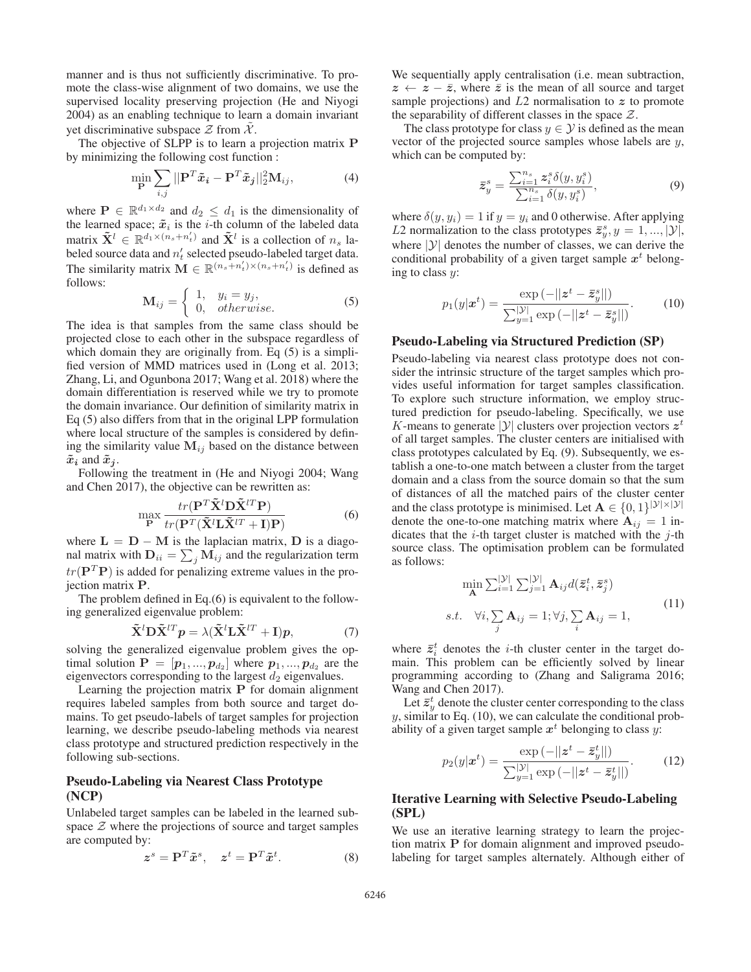manner and is thus not sufficiently discriminative. To promote the class-wise alignment of two domains, we use the supervised locality preserving projection (He and Niyogi 2004) as an enabling technique to learn a domain invariant yet discriminative subspace  $\mathcal Z$  from  $\mathcal X$ .

The objective of SLPP is to learn a projection matrix **P** by minimizing the following cost function :

$$
\min_{\mathbf{P}} \sum_{i,j} ||\mathbf{P}^T \tilde{\boldsymbol{x}}_i - \mathbf{P}^T \tilde{\boldsymbol{x}}_j||_2^2 \mathbf{M}_{ij},
$$
\n(4)

where  $P \in \mathbb{R}^{d_1 \times d_2}$  and  $d_2 \leq d_1$  is the dimensionality of the learned space;  $\tilde{x}_i$  is the *i*-th column of the labeled data matrix  $\tilde{\mathbf{X}}^l \in \mathbb{R}^{d_1 \times (n_s + n'_t)}$  and  $\tilde{\mathbf{X}}^l$  is a collection of  $n_s$  labeled source data and  $n'_t$  selected pseudo-labeled target data. The similarity matrix  $\mathbf{M} \in \mathbb{R}^{(n_s + n'_t) \times (n_s + n'_t)}$  is defined as follows:

$$
\mathbf{M}_{ij} = \begin{cases} 1, & y_i = y_j, \\ 0, & otherwise. \end{cases}
$$
 (5)  
The idea is that samples from the same class should be

projected close to each other in the subspace regardless of which domain they are originally from. Eq (5) is a simplified version of MMD matrices used in (Long et al. 2013; Zhang, Li, and Ogunbona 2017; Wang et al. 2018) where the domain differentiation is reserved while we try to promote the domain invariance. Our definition of similarity matrix in Eq (5) also differs from that in the original LPP formulation where local structure of the samples is considered by defining the similarity value  $M_{ij}$  based on the distance between  $\tilde{x}_i$  and  $\tilde{x}_j$ .

Following the treatment in (He and Niyogi 2004; Wang and Chen 2017), the objective can be rewritten as:

$$
\max_{\mathbf{P}} \frac{tr(\mathbf{P}^T \tilde{\mathbf{X}}^l \mathbf{D} \tilde{\mathbf{X}}^{lT} \mathbf{P})}{tr(\mathbf{P}^T (\tilde{\mathbf{X}}^l \mathbf{L} \tilde{\mathbf{X}}^{lT} + \mathbf{I}) \mathbf{P})}
$$
(6)

where  $\mathbf{L} = \mathbf{D} - \mathbf{M}$  is the laplacian matrix,  $\mathbf{D}$  is a diagonal matrix with  $\mathbf{D}_U = \sum_i \mathbf{M}_U$  and the regularization term nal matrix with  $\mathbf{D}_{ii} = \sum_j \mathbf{M}_{ij}$  and the regularization term<br>to  $(\mathbf{D}^T \mathbf{D})$  is added for panalizing autrema values in the grap  $tr(\mathbf{P}^T \mathbf{P})$  is added for penalizing extreme values in the projection matrix **P**.

The problem defined in Eq.(6) is equivalent to the following generalized eigenvalue problem:

$$
\tilde{\mathbf{X}}^{l} \mathbf{D} \tilde{\mathbf{X}}^{l} p = \lambda (\tilde{\mathbf{X}}^{l} \mathbf{L} \tilde{\mathbf{X}}^{l} + \mathbf{I}) p, \tag{7}
$$
  
solving the generalized eigenvalue problem gives the op-

timal solution  $P = [p_1, ..., p_{d_2}]$  where  $p_1, ..., p_{d_2}$  are the eigenvectors corresponding to the largest  $d_2$  eigenvalues.

Learning the projection matrix **P** for domain alignment requires labeled samples from both source and target domains. To get pseudo-labels of target samples for projection learning, we describe pseudo-labeling methods via nearest class prototype and structured prediction respectively in the following sub-sections.

# Pseudo-Labeling via Nearest Class Prototype (NCP)

Unlabeled target samples can be labeled in the learned subspace  $Z$  where the projections of source and target samples are computed by:

$$
\boldsymbol{z}^s = \mathbf{P}^T \tilde{\boldsymbol{x}}^s, \quad \boldsymbol{z}^t = \mathbf{P}^T \tilde{\boldsymbol{x}}^t. \tag{8}
$$

We sequentially apply centralisation (i.e. mean subtraction,  $z \leftarrow z - \bar{z}$ , where  $\bar{z}$  is the mean of all source and target sample projections) and L2 normalisation to *z* to promote the separability of different classes in the space  $\mathcal{Z}$ .

The class prototype for class  $y \in \mathcal{Y}$  is defined as the mean vector of the projected source samples whose labels are y, which can be computed by:

$$
\bar{z}_{y}^{s} = \frac{\sum_{i=1}^{n_{s}} z_{i}^{s} \delta(y, y_{i}^{s})}{\sum_{i=1}^{n_{s}} \delta(y, y_{i}^{s})},
$$
\n(9)

where  $\delta(y, y_i)=1$  if  $y = y_i$  and 0 otherwise. After applying L2 normalization to the class prototypes  $\vec{z}_{y}^{s}$ ,  $y = 1,...,|\mathcal{Y}|$ , where  $|\mathcal{Y}|$  denotes the number of classes, we can derive the where  $|y|$  denotes the number of classes, we can derive the conditional probability of a given target sample  $x<sup>t</sup>$  belonging to class  $y$ :

$$
p_1(y|\mathbf{x}^t) = \frac{\exp(-||\mathbf{z}^t - \bar{\mathbf{z}}_y^s||)}{\sum_{y=1}^{|\mathcal{Y}|} \exp(-||\mathbf{z}^t - \bar{\mathbf{z}}_y^s||)}.\tag{10}
$$

#### Pseudo-Labeling via Structured Prediction (SP)

Pseudo-labeling via nearest class prototype does not consider the intrinsic structure of the target samples which provides useful information for target samples classification. To explore such structure information, we employ structured prediction for pseudo-labeling. Specifically, we use K-means to generate  $|{\cal Y}|$  clusters over projection vectors  $z^t$ of all target samples. The cluster centers are initialised with class prototypes calculated by Eq. (9). Subsequently, we establish a one-to-one match between a cluster from the target domain and a class from the source domain so that the sum of distances of all the matched pairs of the cluster center and the class prototype is minimised. Let  $A \in \{0, 1\}^{|\mathcal{Y}| \times |\mathcal{Y}|}$ denote the one-to-one matching matrix where  $A_{ij} = 1$  indicates that the  $i$ -th target cluster is matched with the  $j$ -th source class. The optimisation problem can be formulated as follows:

$$
\min_{\mathbf{A}} \sum_{i=1}^{|\mathcal{Y}|} \sum_{j=1}^{|\mathcal{Y}|} \mathbf{A}_{ij} d(\bar{z}_i^t, \bar{z}_j^s)
$$
\n*s.t.*  $\forall i, \sum_j \mathbf{A}_{ij} = 1; \forall j, \sum_i \mathbf{A}_{ij} = 1,$  (11)

where  $\bar{z}_i^t$  denotes the *i*-th cluster center in the target domain. This problem can be efficiently solved by linear programming according to (Zhang and Saligrama 2016; Wang and Chen 2017).

Let  $\bar{z}_y^t$  denote the cluster center corresponding to the class  $y$ , similar to Eq. (10), we can calculate the conditional probability of a given target sample  $x^t$  belonging to class y:

$$
p_2(y|\bm{x}^t) = \frac{\exp(-||\bm{z}^t - \bar{\bm{z}}_y^t||)}{\sum_{y=1}^{|\mathcal{Y}|} \exp(-||\bm{z}^t - \bar{\bm{z}}_y^t||)}.
$$
 (12)

# Iterative Learning with Selective Pseudo-Labeling (SPL)

We use an iterative learning strategy to learn the projection matrix **P** for domain alignment and improved pseudolabeling for target samples alternately. Although either of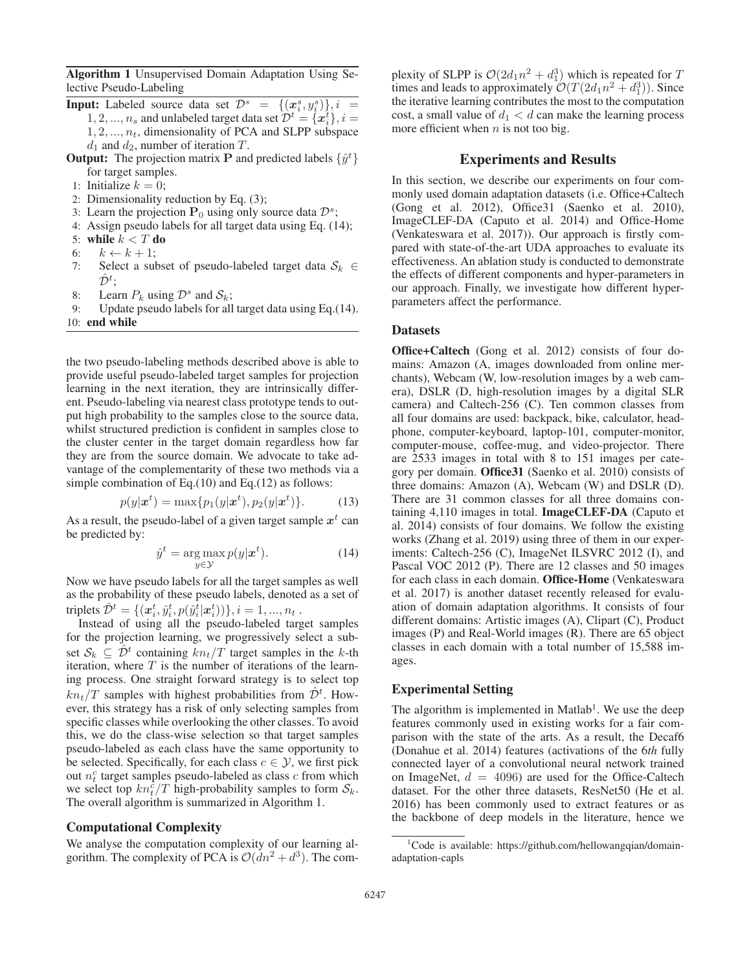Algorithm 1 Unsupervised Domain Adaptation Using Selective Pseudo-Labeling

- **Input:** Labeled source data set  $\mathcal{D}^s = \{(\mathbf{x}_i^s, y_i^s)\}, i =$ <br>  $\begin{bmatrix} 1 & 2 \end{bmatrix}$  and unlabeled target data set  $\mathcal{D}^t = \{x_i^t\}$   $i =$ 
	- 1, 2, ...,  $n_s$  and unlabeled target data set  $\mathcal{D}^t = \{x_i^t\}$ ,  $i = 1, 2, ..., n_s$  dimensionality of PCA and SLPP subspace  $1, 2, \ldots, n_t$ , dimensionality of PCA and SLPP subspace
	- $d_1$  and  $d_2$ , number of iteration T.
- **Output:** The projection matrix **P** and predicted labels  $\{\hat{y}^t\}$  for target samples for target samples.
- 1: Initialize  $k = 0$ ;
- 2: Dimensionality reduction by Eq. (3);
- 3: Learn the projection  $P_0$  using only source data  $\mathcal{D}^s$ ;
- 4: Assign pseudo labels for all target data using Eq. (14);
- 5: while  $k < T$  do
- 6:  $k \leftarrow k + 1;$ <br>7: Select a sub
- Select a subset of pseudo-labeled target data  $S_k \in$  $\hat{\mathcal{D}}^t$ ;
- 8: Learn  $P_k$  using  $\mathcal{D}^s$  and  $\mathcal{S}_k$ ;
- 9: Update pseudo labels for all target data using Eq.(14).
- 10: end while

the two pseudo-labeling methods described above is able to provide useful pseudo-labeled target samples for projection learning in the next iteration, they are intrinsically different. Pseudo-labeling via nearest class prototype tends to output high probability to the samples close to the source data, whilst structured prediction is confident in samples close to the cluster center in the target domain regardless how far they are from the source domain. We advocate to take advantage of the complementarity of these two methods via a simple combination of Eq. $(10)$  and Eq. $(12)$  as follows:

$$
p(y|\boldsymbol{x}^t) = \max\{p_1(y|\boldsymbol{x}^t), p_2(y|\boldsymbol{x}^t)\}.
$$
 (13)

 $p(y|x^t) = \max\{p_1(y|x^t), p_2(y|x^t)\}.$  (13)<br>As a result, the pseudo-label of a given target sample  $x^t$  can be predicted by:

$$
\hat{y}^t = \underset{y \in \mathcal{Y}}{\arg \max} \, p(y | \mathbf{x}^t). \tag{14}
$$

Now we have pseudo labels for all the target samples as well as the probability of these pseudo labels, denoted as a set of triplets  $\hat{\mathcal{D}}^t = \{(\mathbf{x}_i^t, \hat{y}_i^t, p(\hat{y}_i^t | \mathbf{x}_i^t))\}, i = 1, ..., n_t$ .<br>Instead of using all the nseudo-labeled target

Instead of using all the pseudo-labeled target samples for the projection learning, we progressively select a subset  $S_k \subseteq \hat{\mathcal{D}}^t$  containing  $kn_t/T$  target samples in the k-th iteration, where  $T$  is the number of iterations of the learning process. One straight forward strategy is to select top  $kn_t/T$  samples with highest probabilities from  $\hat{\mathcal{D}}^t$ . However, this strategy has a risk of only selecting samples from specific classes while overlooking the other classes. To avoid this, we do the class-wise selection so that target samples pseudo-labeled as each class have the same opportunity to be selected. Specifically, for each class  $c \in \mathcal{Y}$ , we first pick out  $n_t^c$  target samples pseudo-labeled as class c from which we select top  $kn_t^c/T$  high-probability samples to form  $S_k$ . The overall algorithm is summarized in Algorithm 1.

## Computational Complexity

We analyse the computation complexity of our learning algorithm. The complexity of PCA is  $\mathcal{O}(dn^2 + d^3)$ . The com-

plexity of SLPP is  $O(2d_1n^2 + d_1^3)$  which is repeated for T<br>times and leads to approximately  $O(T(2d_1n^2 + d_2^3))$ . Since times and leads to approximately  $\mathcal{O}(T(2d_1n^2 + d_1^3))$ . Since<br>the iterative learning contributes the most to the computation the iterative learning contributes the most to the computation cost, a small value of  $d_1 < d$  can make the learning process more efficient when  $n$  is not too big.

## Experiments and Results

In this section, we describe our experiments on four commonly used domain adaptation datasets (i.e. Office+Caltech (Gong et al. 2012), Office31 (Saenko et al. 2010), ImageCLEF-DA (Caputo et al. 2014) and Office-Home (Venkateswara et al. 2017)). Our approach is firstly compared with state-of-the-art UDA approaches to evaluate its effectiveness. An ablation study is conducted to demonstrate the effects of different components and hyper-parameters in our approach. Finally, we investigate how different hyperparameters affect the performance.

#### **Datasets**

Office+Caltech (Gong et al. 2012) consists of four domains: Amazon (A, images downloaded from online merchants), Webcam (W, low-resolution images by a web camera), DSLR (D, high-resolution images by a digital SLR camera) and Caltech-256 (C). Ten common classes from all four domains are used: backpack, bike, calculator, headphone, computer-keyboard, laptop-101, computer-monitor, computer-mouse, coffee-mug, and video-projector. There are 2533 images in total with 8 to 151 images per category per domain. Office31 (Saenko et al. 2010) consists of three domains: Amazon (A), Webcam (W) and DSLR (D). There are 31 common classes for all three domains containing 4,110 images in total. ImageCLEF-DA (Caputo et al. 2014) consists of four domains. We follow the existing works (Zhang et al. 2019) using three of them in our experiments: Caltech-256 (C), ImageNet ILSVRC 2012 (I), and Pascal VOC 2012 (P). There are 12 classes and 50 images for each class in each domain. Office-Home (Venkateswara et al. 2017) is another dataset recently released for evaluation of domain adaptation algorithms. It consists of four different domains: Artistic images (A), Clipart (C), Product images (P) and Real-World images (R). There are 65 object classes in each domain with a total number of 15,588 images.

## Experimental Setting

The algorithm is implemented in Matlab<sup>1</sup>. We use the deep features commonly used in existing works for a fair comparison with the state of the arts. As a result, the Decaf6 (Donahue et al. 2014) features (activations of the 6*th* fully connected layer of a convolutional neural network trained on ImageNet,  $d = 4096$ ) are used for the Office-Caltech dataset. For the other three datasets, ResNet50 (He et al. 2016) has been commonly used to extract features or as the backbone of deep models in the literature, hence we

<sup>&</sup>lt;sup>1</sup>Code is available: https://github.com/hellowangqian/domainadaptation-capls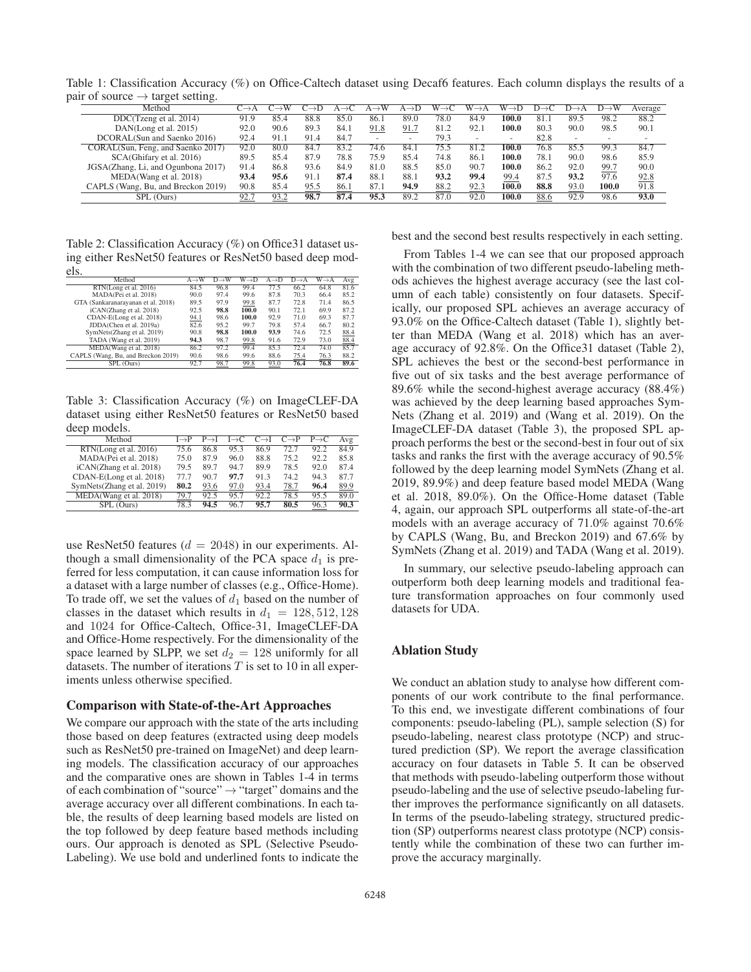Table 1: Classification Accuracy (%) on Office-Caltech dataset using Decaf6 features. Each column displays the results of a pair of source  $\rightarrow$  target setting.

| Method                             | ′ →  | ۰W   |      | $\rightarrow$ ( | $A \rightarrow W$ | $A \rightarrow D$ | $W \rightarrow C$ | $W \rightarrow A$ | $W \rightarrow D$ |      | $D\rightarrow A$ | $D \rightarrow W$ | Average |
|------------------------------------|------|------|------|-----------------|-------------------|-------------------|-------------------|-------------------|-------------------|------|------------------|-------------------|---------|
| DDC(Tzeng et al. 2014)             | 91.9 | 85.4 | 88.8 | 85.0            | 86.1              | 89.0              | 78.0              | 84.9              | 100.0             | 81.i | 89.5             | 98.2              | 88.2    |
| DAN(Long et al. 2015)              | 92.0 | 90.6 | 89.3 | 84.1            | 91.8              | 91.7              | 81.2              | 92.1              | 100.0             | 80.3 | 90.0             | 98.5              | 90.1    |
| DCORAL(Sun and Saenko 2016)        | 92.4 | 91.1 | 91.4 | 84.7            |                   | -                 | 79.3              |                   |                   | 82.8 |                  |                   |         |
| CORAL(Sun, Feng, and Saenko 2017)  | 92.0 | 80.0 | 84.7 | 83.2            | 74.6              | 84.               | 75.5              | 81.2              | 100.0             | 76.8 | 85.5             | 99.3              | 84.7    |
| SCA(Ghifary et al. 2016)           | 89.5 | 85.4 | 87.9 | 78.8            | 75.9              | 85.4              | 74.8              | 86.1              | 100.0             | 78.1 | 90.0             | 98.6              | 85.9    |
| JGSA(Zhang, Li, and Ogunbona 2017) | 91.4 | 86.8 | 93.6 | 84.9            | 81.0              | 88.5              | 85.0              | 90.7              | 100.0             | 86.2 | 92.0             | 99.7              | 90.0    |
| MEDA(Wang et al. 2018)             | 93.4 | 95.6 | 91.1 | 87.4            | 88.1              | 88.i              | 93.2              | 99.4              | 99.4              | 87.5 | 93.2             | 97.6              | 92.8    |
| CAPLS (Wang, Bu, and Breckon 2019) | 90.8 | 85.4 | 95.5 | 86.1            | 87.1              | 94.9              | 88.2              | 92.3              | 100.0             | 88.8 | 93.0             | 100.0             | 91.8    |
| SPL (Ours)                         | 92.7 | 93.2 | 98.7 | 87.4            | 95.3              | 89.2              | 87.0              | 92.0              | 100.0             | 88.6 | 92.9             | 98.6              | 93.0    |

Table 2: Classification Accuracy (%) on Office31 dataset using either ResNet50 features or ResNet50 based deep models. Method A→W D→W W→D A→D D→A W→A Avg

| Method                             | $A \rightarrow W$ | $D \rightarrow W$ | $W \rightarrow D$ | $A \rightarrow D$ | $D \rightarrow A$ | $W \rightarrow A$ | Avg  |
|------------------------------------|-------------------|-------------------|-------------------|-------------------|-------------------|-------------------|------|
| RTN(Long et al. 2016)              | 84.5              | 96.8              | 99.4              | 77.5              | 66.2              | 64.8              | 81.6 |
| MADA(Pei et al. 2018)              | 90.0              | 97.4              | 99.6              | 87.8              | 70.3              | 66.4              | 85.2 |
| GTA (Sankaranarayanan et al. 2018) | 89.5              | 97.9              | 99.8              | 87.7              | 72.8              | 71.4              | 86.5 |
| iCAN(Zhang et al. 2018)            | 92.5              | 98.8              | 100.0             | 90.1              | 72.1              | 69.9              | 87.2 |
| CDAN-E(Long et al. 2018)           | 94.1              | 98.6              | 100.0             | 92.9              | 71.0              | 69.3              | 87.7 |
| JDDA(Chen et al. 2019a)            | 82.6              | 95.2              | 99.7              | 79.8              | 57.4              | 66.7              | 80.2 |
| SymNets(Zhang et al. 2019)         | 90.8              | 98.8              | 100.0             | 93.9              | 74.6              | 72.5              | 88.4 |
| TADA (Wang et al. 2019)            | 94.3              | 98.7              | 99.8              | 91.6              | 72.9              | 73.0              | 88.4 |
| MEDA(Wang et al. 2018)             | 86.2              | 97.2              | 99.4              | 85.3              | 72.4              | 74.0              | 85.7 |
| CAPLS (Wang, Bu, and Breckon 2019) | 90.6              | 98.6              | 99.6              | 88.6              | 75.4              | 76.3              | 88.2 |
| SPL (Ours)                         | 92.7              | 98.7              | 99.8              | 93.0              | 76.4              | 76.8              | 89.6 |

Table 3: Classification Accuracy (%) on ImageCLEF-DA dataset using either ResNet50 features or ResNet50 based deep models.

| Method                     | $I \rightarrow P$ | $P \rightarrow I$ | $I \rightarrow C$ | $C \rightarrow I$ | $C \rightarrow P$ | $P \rightarrow C$ | Avg  |
|----------------------------|-------------------|-------------------|-------------------|-------------------|-------------------|-------------------|------|
| RTN(Long et al. 2016)      | 75.6              | 86.8              | 95.3              | 86.9              | 72.7              | 92.2              | 84.9 |
| MADA(Pei et al. 2018)      | 75.0              | 879               | 96.0              | 88.8              | 75.2              | 92.2              | 85.8 |
| iCAN(Zhang et al. 2018)    | 79.5              | 89.7              | 94.7              | 89.9              | 78.5              | 92.0              | 87.4 |
| CDAN-E(Long et al. 2018)   | 77.7              | 90.7              | 97.7              | 91.3              | 74.2              | 94.3              | 87.7 |
| SymNets(Zhang et al. 2019) | 80.2              | 93.6              | 97.0              | 93.4              | 78.7              | 96.4              | 89.9 |
| MEDA(Wang et al. 2018)     | 79.7              | 92.5              | 95.7              | 92.2              | 78.5              | 95.5              | 89.0 |
| SPL (Ours)                 | 78.3              | 94.5              | 96.7              | 95.7              | 80.5              | 96.3              | 90.3 |

use ResNet50 features ( $d = 2048$ ) in our experiments. Although a small dimensionality of the PCA space  $d_1$  is preferred for less computation, it can cause information loss for a dataset with a large number of classes (e.g., Office-Home). To trade off, we set the values of  $d_1$  based on the number of classes in the dataset which results in  $d_1 = 128, 512, 128$ and 1024 for Office-Caltech, Office-31, ImageCLEF-DA and Office-Home respectively. For the dimensionality of the space learned by SLPP, we set  $d_2 = 128$  uniformly for all datasets. The number of iterations  $T$  is set to 10 in all experiments unless otherwise specified.

#### Comparison with State-of-the-Art Approaches

We compare our approach with the state of the arts including those based on deep features (extracted using deep models such as ResNet50 pre-trained on ImageNet) and deep learning models. The classification accuracy of our approaches and the comparative ones are shown in Tables 1-4 in terms of each combination of "source"  $\rightarrow$  "target" domains and the average accuracy over all different combinations. In each table, the results of deep learning based models are listed on the top followed by deep feature based methods including ours. Our approach is denoted as SPL (Selective Pseudo-Labeling). We use bold and underlined fonts to indicate the

best and the second best results respectively in each setting.

From Tables 1-4 we can see that our proposed approach with the combination of two different pseudo-labeling methods achieves the highest average accuracy (see the last column of each table) consistently on four datasets. Specifically, our proposed SPL achieves an average accuracy of 93.0% on the Office-Caltech dataset (Table 1), slightly better than MEDA (Wang et al. 2018) which has an average accuracy of 92.8%. On the Office31 dataset (Table 2), SPL achieves the best or the second-best performance in five out of six tasks and the best average performance of 89.6% while the second-highest average accuracy (88.4%) was achieved by the deep learning based approaches Sym-Nets (Zhang et al. 2019) and (Wang et al. 2019). On the ImageCLEF-DA dataset (Table 3), the proposed SPL approach performs the best or the second-best in four out of six tasks and ranks the first with the average accuracy of 90.5% followed by the deep learning model SymNets (Zhang et al. 2019, 89.9%) and deep feature based model MEDA (Wang et al. 2018, 89.0%). On the Office-Home dataset (Table 4, again, our approach SPL outperforms all state-of-the-art models with an average accuracy of 71.0% against 70.6% by CAPLS (Wang, Bu, and Breckon 2019) and 67.6% by SymNets (Zhang et al. 2019) and TADA (Wang et al. 2019).

In summary, our selective pseudo-labeling approach can outperform both deep learning models and traditional feature transformation approaches on four commonly used datasets for UDA.

#### Ablation Study

We conduct an ablation study to analyse how different components of our work contribute to the final performance. To this end, we investigate different combinations of four components: pseudo-labeling (PL), sample selection (S) for pseudo-labeling, nearest class prototype (NCP) and structured prediction (SP). We report the average classification accuracy on four datasets in Table 5. It can be observed that methods with pseudo-labeling outperform those without pseudo-labeling and the use of selective pseudo-labeling further improves the performance significantly on all datasets. In terms of the pseudo-labeling strategy, structured prediction (SP) outperforms nearest class prototype (NCP) consistently while the combination of these two can further improve the accuracy marginally.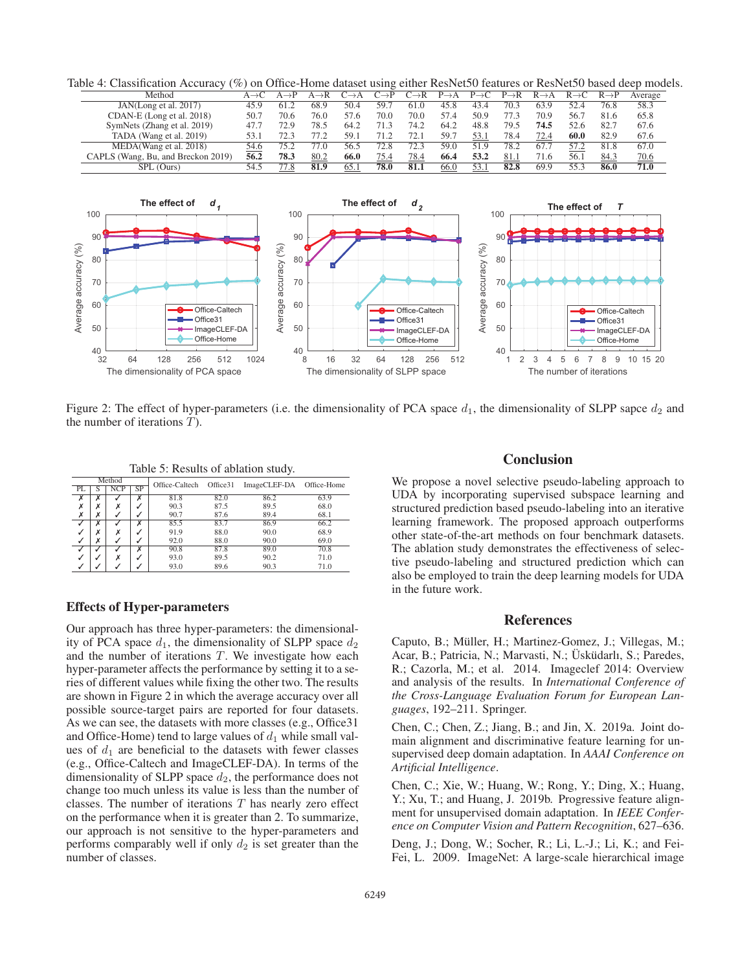Table 4: Classification Accuracy (%) on Office-Home dataset using either ResNet50 features or ResNet50 based deep models.

| Method                             |      | $\mathbf{A} \rightarrow$ |      |      | $C\rightarrow P$ | $C\rightarrow R$ | $P \rightarrow A$ | $P \rightarrow C$ | $P\rightarrow R$ | $R \rightarrow A$ |      | $R \rightarrow P$ | Average |
|------------------------------------|------|--------------------------|------|------|------------------|------------------|-------------------|-------------------|------------------|-------------------|------|-------------------|---------|
| JAN(Long et al. 2017)              | 45.9 | 61.2                     | 68.9 | 50.4 | 59.1             | 61.0             | 45.8              | 43.4              | 70.3             | 63.9              | 52.4 | 76.8              | 58.3    |
| CDAN-E (Long et al. 2018)          | 50.7 | 70.6                     | 76.0 | 57.6 | 70.0             | 70.0             | 57.4              | 50.9              |                  | 70.9              | 56.7 | 81.6              | 65.8    |
| SymNets (Zhang et al. 2019)        | 47.7 | 72.9                     | 78.5 | 64.2 |                  | 74.2             | 64.2              | 48.8              | 79.5             | 74.5              | 52.6 | 82.7              | 67.6    |
| TADA (Wang et al. 2019)            | 53.1 | 72.3                     | 77.2 | 59.  | 71.2             | 72.1             | 59.7              | 53.1              | 78.4             | 72.4              | 60.0 | 82.9              | 67.6    |
| MEDA(Wang et al. 2018)             | 54.6 | 75.2                     | 77.0 | 56.5 | 72.8             | 72.3             | 59.0              | 51.9              | 78.2             | 67.7              | 57.2 | 81.8              | 67.0    |
| CAPLS (Wang, Bu, and Breckon 2019) | 56.2 | 78.3                     | 80.2 | 66.0 | 75.4             | 78.4             | 66.4              | 53.2              | 81.1             | 71.6              | 56.1 | 84.3              | 70.6    |
| SPL (Ours)                         | 54.5 | 77.8                     | 81.9 | 65.  | 78.0             | 81.1             | 66.0              |                   | 82.8             | 69.9              | 55.3 | 86.0              | 71.0    |



Figure 2: The effect of hyper-parameters (i.e. the dimensionality of PCA space  $d_1$ , the dimensionality of SLPP sapce  $d_2$  and the number of iterations T).

Table 5: Results of ablation study.

|              | Method |    | Office-Caltech | Office31 | ImageCLEF-DA | Office-Home |
|--------------|--------|----|----------------|----------|--------------|-------------|
| PL           | NCP    | SP |                |          |              |             |
|              |        |    | 81.8           | 82.0     | 86.2         | 63.9        |
| Х            |        |    | 90.3           | 87.5     | 89.5         | 68.0        |
| Х            |        |    | 90.7           | 87.6     | 89.4         | 68.1        |
|              |        |    | 85.5           | 83.7     | 86.9         | 66.2        |
| $\checkmark$ |        |    | 91.9           | 88.0     | 90.0         | 68.9        |
| ✓            |        |    | 92.0           | 88.0     | 90.0         | 69.0        |
|              |        |    | 90.8           | 87.8     | 89.0         | 70.8        |
|              |        |    | 93.0           | 89.5     | 90.2         | 71.0        |
|              |        |    | 93.0           | 89.6     | 90.3         | 71.0        |

# Effects of Hyper-parameters

Our approach has three hyper-parameters: the dimensionality of PCA space  $d_1$ , the dimensionality of SLPP space  $d_2$ and the number of iterations T. We investigate how each hyper-parameter affects the performance by setting it to a series of different values while fixing the other two. The results are shown in Figure 2 in which the average accuracy over all possible source-target pairs are reported for four datasets. As we can see, the datasets with more classes (e.g., Office31 and Office-Home) tend to large values of  $d_1$  while small values of  $d_1$  are beneficial to the datasets with fewer classes (e.g., Office-Caltech and ImageCLEF-DA). In terms of the dimensionality of SLPP space  $d_2$ , the performance does not change too much unless its value is less than the number of classes. The number of iterations  $T$  has nearly zero effect on the performance when it is greater than 2. To summarize, our approach is not sensitive to the hyper-parameters and performs comparably well if only  $d_2$  is set greater than the number of classes.

# **Conclusion**

We propose a novel selective pseudo-labeling approach to UDA by incorporating supervised subspace learning and structured prediction based pseudo-labeling into an iterative learning framework. The proposed approach outperforms other state-of-the-art methods on four benchmark datasets. The ablation study demonstrates the effectiveness of selective pseudo-labeling and structured prediction which can also be employed to train the deep learning models for UDA in the future work.

## References

Caputo, B.; Müller, H.; Martinez-Gomez, J.; Villegas, M.; Acar, B.; Patricia, N.; Marvasti, N.; Üsküdarlı, S.; Paredes, R.; Cazorla, M.; et al. 2014. Imageclef 2014: Overview and analysis of the results. In *International Conference of the Cross-Language Evaluation Forum for European Languages*, 192–211. Springer.

Chen, C.; Chen, Z.; Jiang, B.; and Jin, X. 2019a. Joint domain alignment and discriminative feature learning for unsupervised deep domain adaptation. In *AAAI Conference on Artificial Intelligence*.

Chen, C.; Xie, W.; Huang, W.; Rong, Y.; Ding, X.; Huang, Y.; Xu, T.; and Huang, J. 2019b. Progressive feature alignment for unsupervised domain adaptation. In *IEEE Conference on Computer Vision and Pattern Recognition*, 627–636.

Deng, J.; Dong, W.; Socher, R.; Li, L.-J.; Li, K.; and Fei-Fei, L. 2009. ImageNet: A large-scale hierarchical image